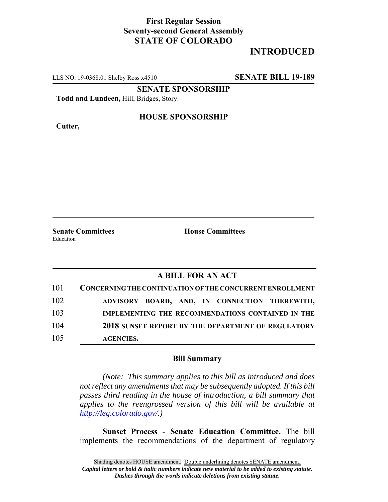## **First Regular Session Seventy-second General Assembly STATE OF COLORADO**

# **INTRODUCED**

LLS NO. 19-0368.01 Shelby Ross x4510 **SENATE BILL 19-189**

**SENATE SPONSORSHIP**

**Todd and Lundeen,** Hill, Bridges, Story

**Cutter,**

#### **HOUSE SPONSORSHIP**

**Senate Committees House Committees** Education

### **A BILL FOR AN ACT**

| 101 | CONCERNING THE CONTINUATION OF THE CONCURRENT ENROLLMENT |
|-----|----------------------------------------------------------|
| 102 | ADVISORY BOARD, AND, IN CONNECTION THEREWITH,            |
| 103 | IMPLEMENTING THE RECOMMENDATIONS CONTAINED IN THE        |
| 104 | 2018 SUNSET REPORT BY THE DEPARTMENT OF REGULATORY       |
| 105 | <b>AGENCIES.</b>                                         |

#### **Bill Summary**

*(Note: This summary applies to this bill as introduced and does not reflect any amendments that may be subsequently adopted. If this bill passes third reading in the house of introduction, a bill summary that applies to the reengrossed version of this bill will be available at http://leg.colorado.gov/.)*

**Sunset Process - Senate Education Committee.** The bill implements the recommendations of the department of regulatory